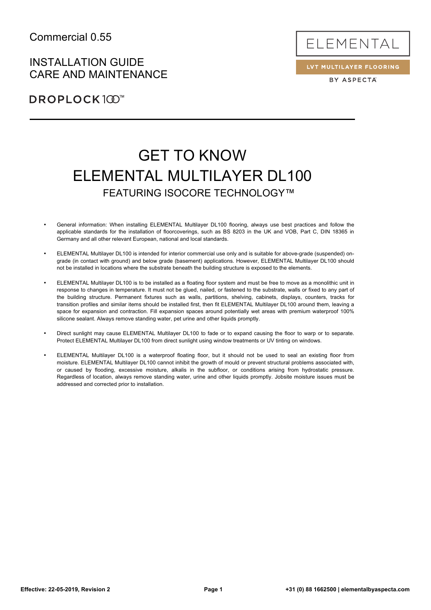# INSTALLATION GUIDE CARE AND MAINTENANCE



LVT MULTILAYER FLOORING BY ASPECTA

# GET TO KNOW ELEMENTAL MULTILAYER DL100 FEATURING ISOCORE TECHNOLOGY™

- General information: When installing ELEMENTAL Multilayer DL100 flooring, always use best practices and follow the applicable standards for the installation of floorcoverings, such as BS 8203 in the UK and VOB, Part C, DIN 18365 in Germany and all other relevant European, national and local standards.
- ELEMENTAL Multilayer DL100 is intended for interior commercial use only and is suitable for above-grade (suspended) ongrade (in contact with ground) and below grade (basement) applications. However, ELEMENTAL Multilayer DL100 should not be installed in locations where the substrate beneath the building structure is exposed to the elements.
- ELEMENTAL Multilayer DL100 is to be installed as a floating floor system and must be free to move as a monolithic unit in response to changes in temperature. It must not be glued, nailed, or fastened to the substrate, walls or fixed to any part of the building structure. Permanent fixtures such as walls, partitions, shelving, cabinets, displays, counters, tracks for transition profiles and similar items should be installed first, then fit ELEMENTAL Multilayer DL100 around them, leaving a space for expansion and contraction. Fill expansion spaces around potentially wet areas with premium waterproof 100% silicone sealant. Always remove standing water, pet urine and other liquids promptly.
- Direct sunlight may cause ELEMENTAL Multilayer DL100 to fade or to expand causing the floor to warp or to separate. Protect ELEMENTAL Multilayer DL100 from direct sunlight using window treatments or UV tinting on windows.
- ELEMENTAL Multilayer DL100 is a waterproof floating floor, but it should not be used to seal an existing floor from moisture. ELEMENTAL Multilayer DL100 cannot inhibit the growth of mould or prevent structural problems associated with, or caused by flooding, excessive moisture, alkalis in the subfloor, or conditions arising from hydrostatic pressure. Regardless of location, always remove standing water, urine and other liquids promptly. Jobsite moisture issues must be addressed and corrected prior to installation.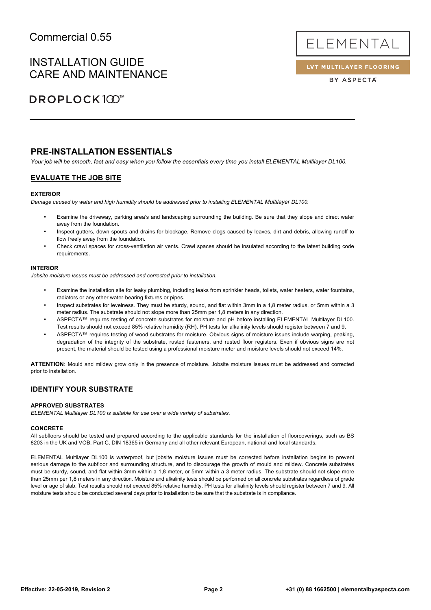# INSTALLATION GUIDE CARE AND MAINTENANCE

# **DROPLOCK1**①™

### **PRE-INSTALLATION ESSENTIALS**

*Your job will be smooth, fast and easy when you follow the essentials every time you install ELEMENTAL Multilayer DL100.*

### **EVALUATE THE JOB SITE**

### **EXTERIOR**

*Damage caused by water and high humidity should be addressed prior to installing ELEMENTAL Multilayer DL100.*

- Examine the driveway, parking area's and landscaping surrounding the building. Be sure that they slope and direct water away from the foundation.
- Inspect gutters, down spouts and drains for blockage. Remove clogs caused by leaves, dirt and debris, allowing runoff to flow freely away from the foundation.
- Check crawl spaces for cross-ventilation air vents. Crawl spaces should be insulated according to the latest building code requirements.

#### **INTERIOR**

*Jobsite moisture issues must be addressed and corrected prior to installation.*

- Examine the installation site for leaky plumbing, including leaks from sprinkler heads, toilets, water heaters, water fountains, radiators or any other water-bearing fixtures or pipes.
- Inspect substrates for levelness. They must be sturdy, sound, and flat within 3mm in a 1,8 meter radius, or 5mm within a 3 meter radius. The substrate should not slope more than 25mm per 1,8 meters in any direction.
- ASPECTA™ requires testing of concrete substrates for moisture and pH before installing ELEMENTAL Multilayer DL100. Test results should not exceed 85% relative humidity (RH). PH tests for alkalinity levels should register between 7 and 9.
- ASPECTA™ requires testing of wood substrates for moisture. Obvious signs of moisture issues include warping, peaking, degradation of the integrity of the substrate, rusted fasteners, and rusted floor registers. Even if obvious signs are not present, the material should be tested using a professional moisture meter and moisture levels should not exceed 14%.

**ATTENTION**: Mould and mildew grow only in the presence of moisture. Jobsite moisture issues must be addressed and corrected prior to installation.

### **IDENTIFY YOUR SUBSTRATE**

#### **APPROVED SUBSTRATES**

*ELEMENTAL Multilayer DL100 is suitable for use over a wide variety of substrates.*

#### **CONCRETE**

All subfloors should be tested and prepared according to the applicable standards for the installation of floorcoverings, such as BS 8203 in the UK and VOB, Part C, DIN 18365 in Germany and all other relevant European, national and local standards.

ELEMENTAL Multilayer DL100 is waterproof, but jobsite moisture issues must be corrected before installation begins to prevent serious damage to the subfloor and surrounding structure, and to discourage the growth of mould and mildew. Concrete substrates must be sturdy, sound, and flat within 3mm within a 1,8 meter, or 5mm within a 3 meter radius. The substrate should not slope more than 25mm per 1,8 meters in any direction. Moisture and alkalinity tests should be performed on all concrete substrates regardless of grade level or age of slab. Test results should not exceed 85% relative humidity. PH tests for alkalinity levels should register between 7 and 9. All moisture tests should be conducted several days prior to installation to be sure that the substrate is in compliance.

ELEMENTAL

LVT MULTILAYER FLOORING BY ASPECTA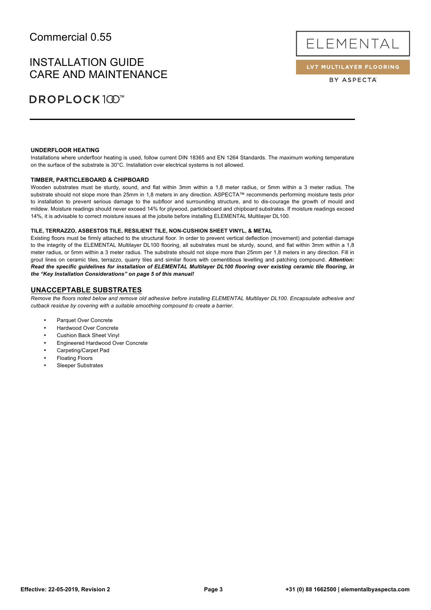# INSTALLATION GUIDE CARE AND MAINTENANCE

# **DROPLOCK1**①™

ELEMENTAL

LVT MULTILAYER FLOORING

BY ASPECTA

#### **UNDERFLOOR HEATING**

Installations where underfloor heating is used, follow current DIN 18365 and EN 1264 Standards. The maximum working temperature on the surface of the substrate is 30°C. Installation over electrical systems is not allowed.

### **TIMBER, PARTICLEBOARD & CHIPBOARD**

Wooden substrates must be sturdy, sound, and flat within 3mm within a 1,8 meter radius, or 5mm within a 3 meter radius. The substrate should not slope more than 25mm in 1,8 meters in any direction. ASPECTA™ recommends performing moisture tests prior to installation to prevent serious damage to the subfloor and surrounding structure, and to dis-courage the growth of mould and mildew. Moisture readings should never exceed 14% for plywood, particleboard and chipboard substrates. If moisture readings exceed 14%, it is advisable to correct moisture issues at the jobsite before installing ELEMENTAL Multilayer DL100.

#### **TILE, TERRAZZO, ASBESTOS TILE, RESILIENT TILE, NON-CUSHION SHEET VINYL, & METAL**

Existing floors must be firmly attached to the structural floor. In order to prevent vertical deflection (movement) and potential damage to the integrity of the ELEMENTAL Multilayer DL100 flooring, all substrates must be sturdy, sound, and flat within 3mm within a 1,8 meter radius, or 5mm within a 3 meter radius. The substrate should not slope more than 25mm per 1,8 meters in any direction. Fill in grout lines on ceramic tiles, terrazzo, quarry tiles and similar floors with cementitious levelling and patching compound. *Attention: Read the specific guidelines for installation of ELEMENTAL Multilayer DL100 flooring over existing ceramic tile flooring, in the "Key Installation Considerations" on page 5 of this manual!* 

### **UNACCEPTABLE SUBSTRATES**

*Remove the floors noted below and remove old adhesive before installing ELEMENTAL Multilayer DL100. Encapsulate adhesive and cutback residue by covering with a suitable smoothing compound to create a barrier.*

- Parquet Over Concrete
- Hardwood Over Concrete
- Cushion Back Sheet Vinyl
- Engineered Hardwood Over Concrete
- Carpeting/Carpet Pad
- Floating Floors
- Sleeper Substrates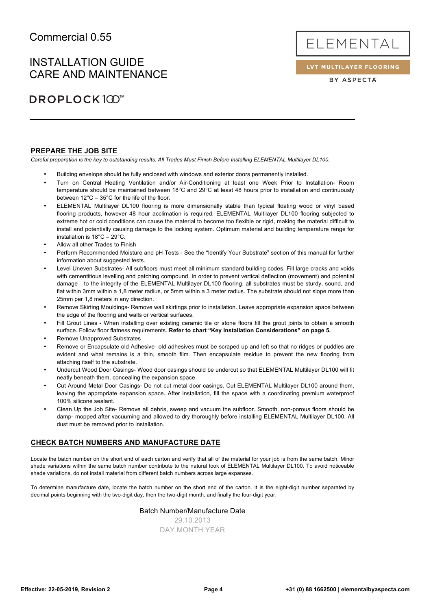# INSTALLATION GUIDE CARE AND MAINTENANCE

# **DROPLOCK1**①™

### **PREPARE THE JOB SITE**

*Careful preparation is the key to outstanding results. All Trades Must Finish Before Installing ELEMENTAL Multilayer DL100.*

- Building envelope should be fully enclosed with windows and exterior doors permanently installed.
- Turn on Central Heating Ventilation and/or Air-Conditioning at least one Week Prior to Installation- Room temperature should be maintained between 18°C and 29°C at least 48 hours prior to installation and continuously between 12°C – 35°C for the life of the floor.
- ELEMENTAL Multilayer DL100 flooring is more dimensionally stable than typical floating wood or vinyl based flooring products, however 48 hour acclimation is required. ELEMENTAL Multilayer DL100 flooring subjected to extreme hot or cold conditions can cause the material to become too flexible or rigid, making the material difficult to install and potentially causing damage to the locking system. Optimum material and building temperature range for installation is 18°C – 29°C.
- Allow all other Trades to Finish
- Perform Recommended Moisture and pH Tests See the "Identify Your Substrate" section of this manual for further information about suggested tests.
- Level Uneven Substrates- All subfloors must meet all minimum standard building codes. Fill large cracks and voids with cementitious levelling and patching compound. In order to prevent vertical deflection (movement) and potential damage to the integrity of the ELEMENTAL Multilayer DL100 flooring, all substrates must be sturdy, sound, and flat within 3mm within a 1.8 meter radius, or 5mm within a 3 meter radius. The substrate should not slope more than 25mm per 1,8 meters in any direction.
- Remove Skirting Mouldings- Remove wall skirtings prior to installation. Leave appropriate expansion space between the edge of the flooring and walls or vertical surfaces.
- Fill Grout Lines When installing over existing ceramic tile or stone floors fill the grout joints to obtain a smooth surface. Follow floor flatness requirements. **Refer to chart "Key Installation Considerations" on page 5.**
- Remove Unapproved Substrates
- Remove or Encapsulate old Adhesive- old adhesives must be scraped up and left so that no ridges or puddles are evident and what remains is a thin, smooth film. Then encapsulate residue to prevent the new flooring from attaching itself to the substrate.
- Undercut Wood Door Casings- Wood door casings should be undercut so that ELEMENTAL Multilayer DL100 will fit neatly beneath them, concealing the expansion space.
- Cut Around Metal Door Casings- Do not cut metal door casings. Cut ELEMENTAL Multilayer DL100 around them, leaving the appropriate expansion space. After installation, fill the space with a coordinating premium waterproof 100% silicone sealant.
- Clean Up the Job Site- Remove all debris, sweep and vacuum the subfloor. Smooth, non-porous floors should be damp- mopped after vacuuming and allowed to dry thoroughly before installing ELEMENTAL Multilayer DL100. All dust must be removed prior to installation.

### **CHECK BATCH NUMBERS AND MANUFACTURE DATE**

Locate the batch number on the short end of each carton and verify that all of the material for your job is from the same batch. Minor shade variations within the same batch number contribute to the natural look of ELEMENTAL Multilayer DL100. To avoid noticeable shade variations, do not install material from different batch numbers across large expanses.

To determine manufacture date, locate the batch number on the short end of the carton. It is the eight-digit number separated by decimal points beginning with the two-digit day, then the two-digit month, and finally the four-digit year.

### Batch Number/Manufacture Date

29.10.2013 DAY.MONTH.YEAR ELEMENTAL

LVT MULTILAYER FLOORING BY ASPECTA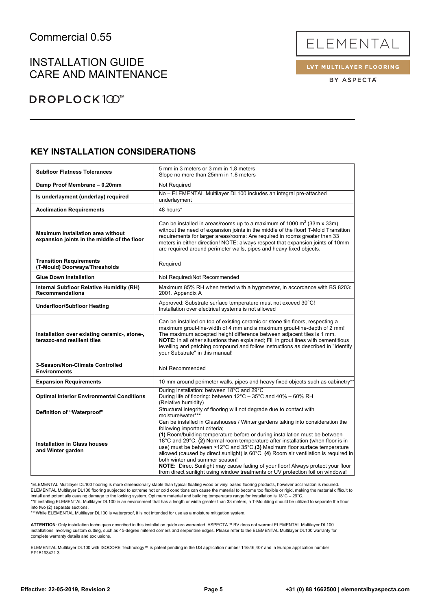# INSTALLATION GUIDE CARE AND MAINTENANCE

LVT MULTILAYER FLOORING

ELEMENTAL

BY ASPECTA

# **DROPLOCK1**①™

### **KEY INSTALLATION CONSIDERATIONS**

| <b>Subfloor Flatness Tolerances</b>                                                     | 5 mm in 3 meters or 3 mm in 1,8 meters<br>Slope no more than 25mm in 1.8 meters                                                                                                                                                                                                                                                                                                                                                                                                                                                                                                                                                                               |  |
|-----------------------------------------------------------------------------------------|---------------------------------------------------------------------------------------------------------------------------------------------------------------------------------------------------------------------------------------------------------------------------------------------------------------------------------------------------------------------------------------------------------------------------------------------------------------------------------------------------------------------------------------------------------------------------------------------------------------------------------------------------------------|--|
| Damp Proof Membrane - 0,20mm                                                            | Not Required                                                                                                                                                                                                                                                                                                                                                                                                                                                                                                                                                                                                                                                  |  |
| Is underlayment (underlay) required                                                     | No - ELEMENTAL Multilayer DL100 includes an integral pre-attached<br>underlayment                                                                                                                                                                                                                                                                                                                                                                                                                                                                                                                                                                             |  |
| <b>Acclimation Requirements</b>                                                         | 48 hours*                                                                                                                                                                                                                                                                                                                                                                                                                                                                                                                                                                                                                                                     |  |
| <b>Maximum Installation area without</b><br>expansion joints in the middle of the floor | Can be installed in areas/rooms up to a maximum of 1000 $m^2$ (33m x 33m)<br>without the need of expansion joints in the middle of the floor! T-Mold Transition<br>requirements for larger areas/rooms: Are required in rooms greater than 33<br>meters in either direction! NOTE: always respect that expansion joints of 10mm<br>are required around perimeter walls, pipes and heavy fixed objects.                                                                                                                                                                                                                                                        |  |
| <b>Transition Requirements</b><br>(T-Mould) Doorways/Thresholds                         | Required                                                                                                                                                                                                                                                                                                                                                                                                                                                                                                                                                                                                                                                      |  |
| <b>Glue Down Installation</b>                                                           | Not Required/Not Recommended                                                                                                                                                                                                                                                                                                                                                                                                                                                                                                                                                                                                                                  |  |
| <b>Internal Subfloor Relative Humidity (RH)</b><br><b>Recommendations</b>               | Maximum 85% RH when tested with a hygrometer, in accordance with BS 8203:<br>2001. Appendix A                                                                                                                                                                                                                                                                                                                                                                                                                                                                                                                                                                 |  |
| <b>Underfloor/Subfloor Heating</b>                                                      | Approved: Substrate surface temperature must not exceed 30°C!<br>Installation over electrical systems is not allowed                                                                                                                                                                                                                                                                                                                                                                                                                                                                                                                                          |  |
| Installation over existing ceramic-, stone-,<br>terazzo-and resilient tiles             | Can be installed on top of existing ceramic or stone tile floors, respecting a<br>maximum grout-line-width of 4 mm and a maximum grout-line-depth of 2 mm!<br>The maximum accepted height difference between adjacent tiles is 1 mm.<br>NOTE: In all other situations then explained; Fill in grout lines with cementitious<br>levelling and patching compound and follow instructions as described in "Identify<br>your Substrate" in this manual!                                                                                                                                                                                                           |  |
| 3-Season/Non-Climate Controlled<br><b>Environments</b>                                  | Not Recommended                                                                                                                                                                                                                                                                                                                                                                                                                                                                                                                                                                                                                                               |  |
| <b>Expansion Requirements</b>                                                           | 10 mm around perimeter walls, pipes and heavy fixed objects such as cabinetry**                                                                                                                                                                                                                                                                                                                                                                                                                                                                                                                                                                               |  |
| <b>Optimal Interior Environmental Conditions</b>                                        | During installation: between 18°C and 29°C<br>During life of flooring: between 12°C - 35°C and 40% - 60% RH<br>(Relative humidity)                                                                                                                                                                                                                                                                                                                                                                                                                                                                                                                            |  |
| Definition of "Waterproof"                                                              | Structural integrity of flooring will not degrade due to contact with<br>moisture/water***                                                                                                                                                                                                                                                                                                                                                                                                                                                                                                                                                                    |  |
| <b>Installation in Glass houses</b><br>and Winter garden                                | Can be installed in Glasshouses / Winter gardens taking into consideration the<br>following important criteria;<br>(1) Room/building temperature before or during installation must be between<br>18°C and 29°C. (2) Normal room temperature after installation (when floor is in<br>use) must be between >12°C and 35°C.(3) Maximum floor surface temperature<br>allowed (caused by direct sunlight) is 60°C. (4) Room air ventilation is required in<br>both winter and summer season!<br>NOTE: Direct Sunlight may cause fading of your floor! Always protect your floor<br>from direct sunlight using window treatments or UV protection foil on windows! |  |

\*ELEMENTAL Multilayer DL100 flooring is more dimensionally stable than typical floating wood or vinyl based flooring products, however acclimation is required. ELEMENTAL Multilayer DL100 flooring subjected to extreme hot or cold conditions can cause the material to become too flexible or rigid, making the material difficult to install and potentially causing damage to the locking system. Optimum material and building temperature range for installation is 18°C – 29°C. \*\*If installing ELEMENTAL Multilayer DL100 in an environment that has a length or width greater than 33 meters, a T-Moulding should be utilized to separate the floor into two (2) separate sections.

\*\*\*While ELEMENTAL Multilayer DL100 is waterproof, it is not intended for use as a moisture mitigation system.

**ATTENTION**: Only installation techniques described in this installation guide are warranted. ASPECTA™ BV does not warrant ELEMENTAL Multilayer DL100 installations involving custom cutting, such as 45-degree mitered corners and serpentine edges. Please refer to the ELEMENTAL Multilayer DL100 warranty for complete warranty details and exclusions.

ELEMENTAL Multilayer DL100 with ISOCORE Technology™ is patent pending in the US application number 14/846,407 and in Europe application number EP15193421.3.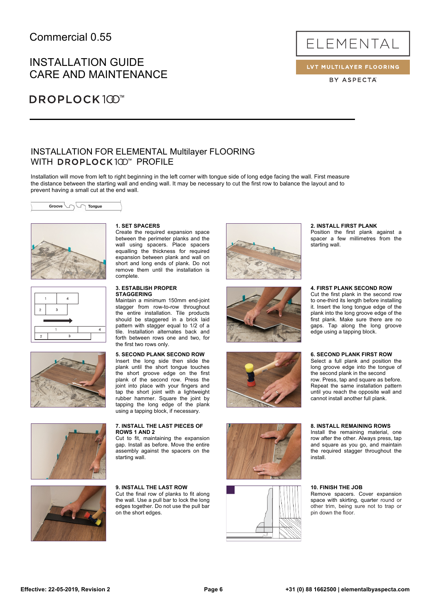# INSTALLATION GUIDE CARE AND MAINTENANCE

# **DROPLOCK1**①™

### INSTALLATION FOR ELEMENTAL Multilayer FLOORING WITH DROPLOCK1<sup>®</sup> PROFILE

Installation will move from left to right beginning in the left corner with tongue side of long edge facing the wall. First measure the distance between the starting wall and ending wall. It may be necessary to cut the first row to balance the layout and to prevent having a small cut at the end wall.

Groove 11 Tongue







### **1. SET SPACERS**

Create the required expansion space between the perimeter planks and the wall using spacers. Place spacers equalling the thickness for required expansion between plank and wall on short and long ends of plank. Do not remove them until the installation is complete.

#### **3. ESTABLISH PROPER STAGGERING**

Maintain a minimum 150mm end-joint stagger from row-to-row throughout the entire installation. Tile products should be staggered in a brick laid pattern with stagger equal to 1/2 of a tile. Installation alternates back and forth between rows one and two, for the first two rows only.

**5. SECOND PLANK SECOND ROW** Insert the long side then slide the plank until the short tongue touches the short groove edge on the first plank of the second row. Press the joint into place with your fingers and tap the short joint with a lightweight rubber hammer. Square the joint by tapping the long edge of the plank using a tapping block, if necessary.

### **7. INSTALL THE LAST PIECES OF ROWS 1 AND 2**

Cut to fit, maintaining the expansion gap. Install as before. Move the entire assembly against the spacers on the starting wall.



#### **9. INSTALL THE LAST ROW**

Cut the final row of planks to fit along the wall. Use a pull bar to lock the long edges together. Do not use the pull bar on the short edges.



**2. INSTALL FIRST PLANK** Position the first plank against a spacer a few millimetres from the starting wall.

ELEMENTAL

LVT MULTILAYER FLOORING BY ASPECTA









**4. FIRST PLANK SECOND ROW** Cut the first plank in the second row to one-third its length before installing it. Insert the long tongue edge of the plank into the long groove edge of the first plank. Make sure there are no gaps. Tap along the long groove edge using a tapping block.

**6. SECOND PLANK FIRST ROW** Select a full plank and position the long groove edge into the tongue of the second plank in the second row. Press, tap and square as before. Repeat the same installation pattern until you reach the opposite wall and cannot install another full plank.

### **8. INSTALL REMAINING ROWS**

Install the remaining material, one row after the other. Always press, tap and square as you go, and maintain the required stagger throughout the install.

#### **10. FINISH THE JOB**

Remove spacers. Cover expansion space with skirting, quarter round or other trim, being sure not to trap or pin down the floor.